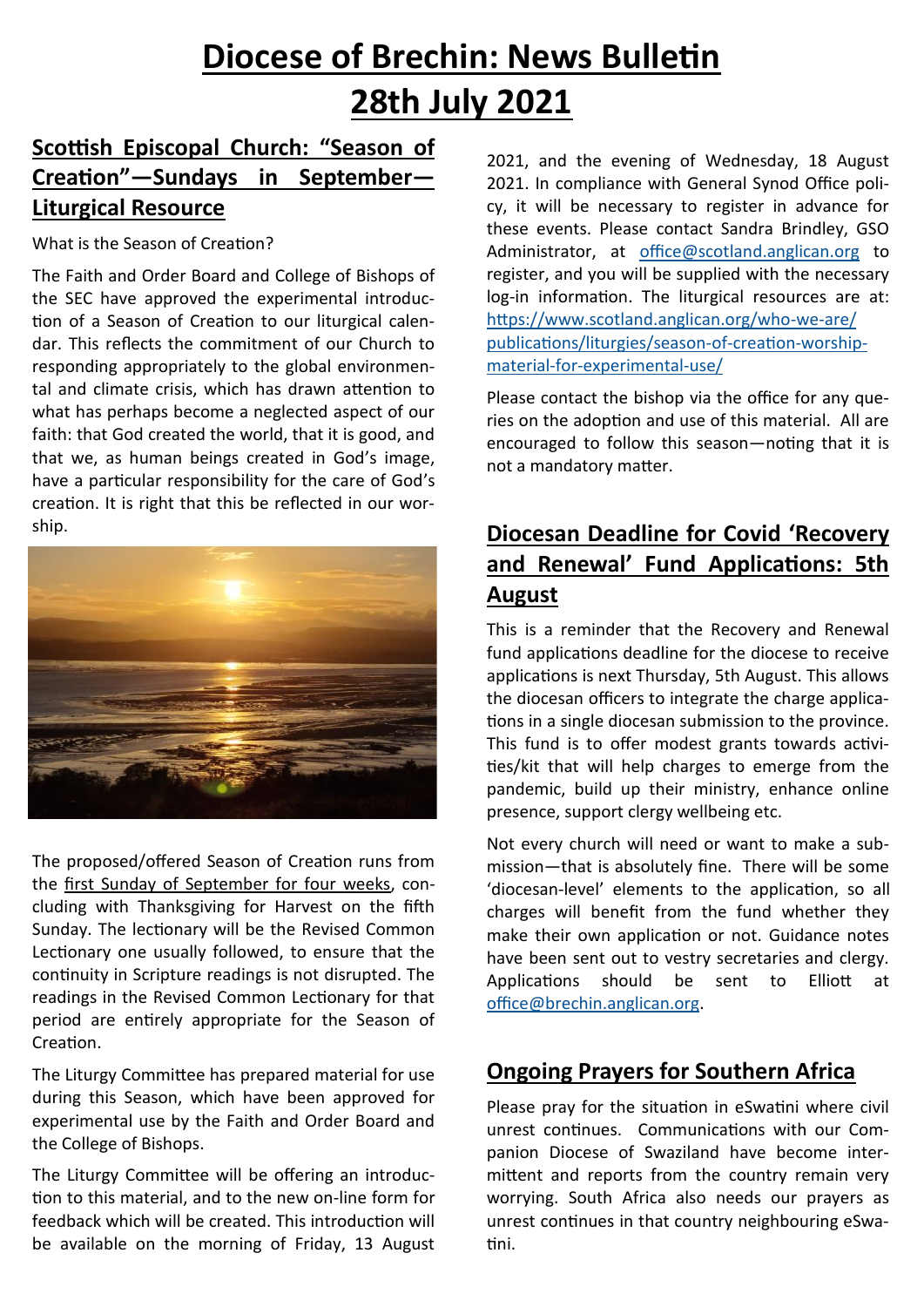# **Diocese of Brechin: News Bulletin 28th July 2021**

# **Scottish Episcopal Church: "Season of Creation"—Sundays in September— Liturgical Resource**

What is the Season of Creation?

The Faith and Order Board and College of Bishops of the SEC have approved the experimental introduction of a Season of Creation to our liturgical calendar. This reflects the commitment of our Church to responding appropriately to the global environmental and climate crisis, which has drawn attention to what has perhaps become a neglected aspect of our faith: that God created the world, that it is good, and that we, as human beings created in God's image, have a particular responsibility for the care of God's creation. It is right that this be reflected in our worship.



The proposed/offered Season of Creation runs from the first Sunday of September for four weeks, concluding with Thanksgiving for Harvest on the fifth Sunday. The lectionary will be the Revised Common Lectionary one usually followed, to ensure that the continuity in Scripture readings is not disrupted. The readings in the Revised Common Lectionary for that period are entirely appropriate for the Season of Creation.

The Liturgy Committee has prepared material for use during this Season, which have been approved for experimental use by the Faith and Order Board and the College of Bishops.

The Liturgy Committee will be offering an introduction to this material, and to the new on-line form for feedback which will be created. This introduction will be available on the morning of Friday, 13 August 2021, and the evening of Wednesday, 18 August 2021. In compliance with General Synod Office policy, it will be necessary to register in advance for these events. Please contact Sandra Brindley, GSO Administrator, at [office@scotland.anglican.org](mailto:office@scotland.anglican.org) to register, and you will be supplied with the necessary log-in information. The liturgical resources are at: [https://www.scotland.anglican.org/who](https://www.scotland.anglican.org/who-we-are/publications/liturgies/season-of-creation-worship-material-for-experimental-use/)-we-are/ [publications/liturgies/season](https://www.scotland.anglican.org/who-we-are/publications/liturgies/season-of-creation-worship-material-for-experimental-use/)-of-creation-worshipmaterial-for-[experimental](https://www.scotland.anglican.org/who-we-are/publications/liturgies/season-of-creation-worship-material-for-experimental-use/)-use/

Please contact the bishop via the office for any queries on the adoption and use of this material. All are encouraged to follow this season—noting that it is not a mandatory matter.

## **Diocesan Deadline for Covid 'Recovery and Renewal' Fund Applications: 5th August**

This is a reminder that the Recovery and Renewal fund applications deadline for the diocese to receive applications is next Thursday, 5th August. This allows the diocesan officers to integrate the charge applications in a single diocesan submission to the province. This fund is to offer modest grants towards activities/kit that will help charges to emerge from the pandemic, build up their ministry, enhance online presence, support clergy wellbeing etc.

Not every church will need or want to make a submission—that is absolutely fine. There will be some 'diocesan-level' elements to the application, so all charges will benefit from the fund whether they make their own application or not. Guidance notes have been sent out to vestry secretaries and clergy. Applications should be sent to Elliott at [office@brechin.anglican.org.](mailto:office@brechin.anglican.org) 

## **Ongoing Prayers for Southern Africa**

Please pray for the situation in eSwatini where civil unrest continues. Communications with our Companion Diocese of Swaziland have become intermittent and reports from the country remain very worrying. South Africa also needs our prayers as unrest continues in that country neighbouring eSwatini.